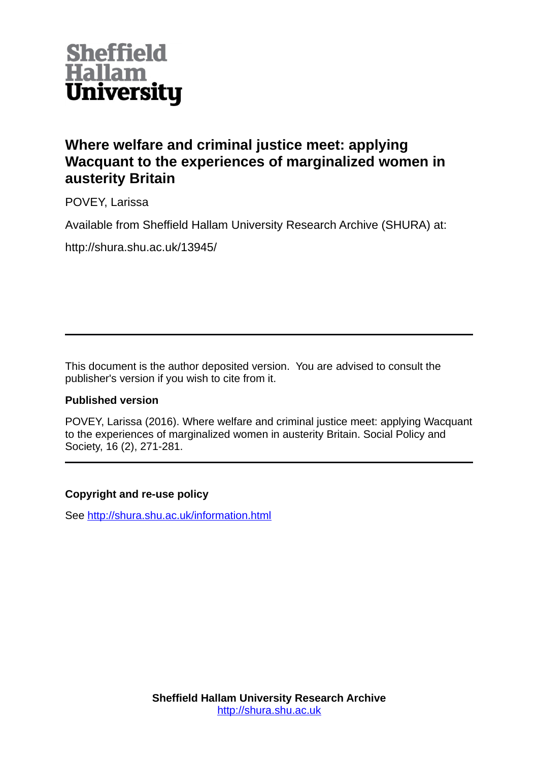

# **Where welfare and criminal justice meet: applying Wacquant to the experiences of marginalized women in austerity Britain**

POVEY, Larissa

Available from Sheffield Hallam University Research Archive (SHURA) at:

http://shura.shu.ac.uk/13945/

This document is the author deposited version. You are advised to consult the publisher's version if you wish to cite from it.

# **Published version**

POVEY, Larissa (2016). Where welfare and criminal justice meet: applying Wacquant to the experiences of marginalized women in austerity Britain. Social Policy and Society, 16 (2), 271-281.

# **Copyright and re-use policy**

See<http://shura.shu.ac.uk/information.html>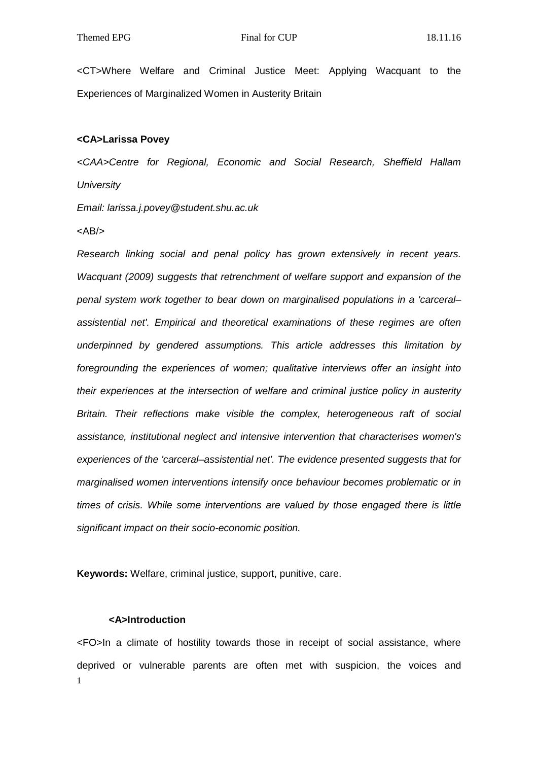<CT>Where Welfare and Criminal Justice Meet: Applying Wacquant to the Experiences of Marginalized Women in Austerity Britain

# **<CA>Larissa Povey**

*<CAA>Centre for Regional, Economic and Social Research, Sheffield Hallam University*

*Email: larissa.j.povey@student.shu.ac.uk*

 $<$ AB/ $>$ 

*Research linking social and penal policy has grown extensively in recent years. Wacquant (2009) suggests that retrenchment of welfare support and expansion of the penal system work together to bear down on marginalised populations in a 'carceral– assistential net'. Empirical and theoretical examinations of these regimes are often underpinned by gendered assumptions. This article addresses this limitation by foregrounding the experiences of women; qualitative interviews offer an insight into their experiences at the intersection of welfare and criminal justice policy in austerity Britain. Their reflections make visible the complex, heterogeneous raft of social assistance, institutional neglect and intensive intervention that characterises women's experiences of the 'carceral–assistential net'. The evidence presented suggests that for marginalised women interventions intensify once behaviour becomes problematic or in times of crisis. While some interventions are valued by those engaged there is little significant impact on their socio-economic position.*

**Keywords:** Welfare, criminal justice, support, punitive, care.

# **<A>Introduction**

1 <FO>In a climate of hostility towards those in receipt of social assistance, where deprived or vulnerable parents are often met with suspicion, the voices and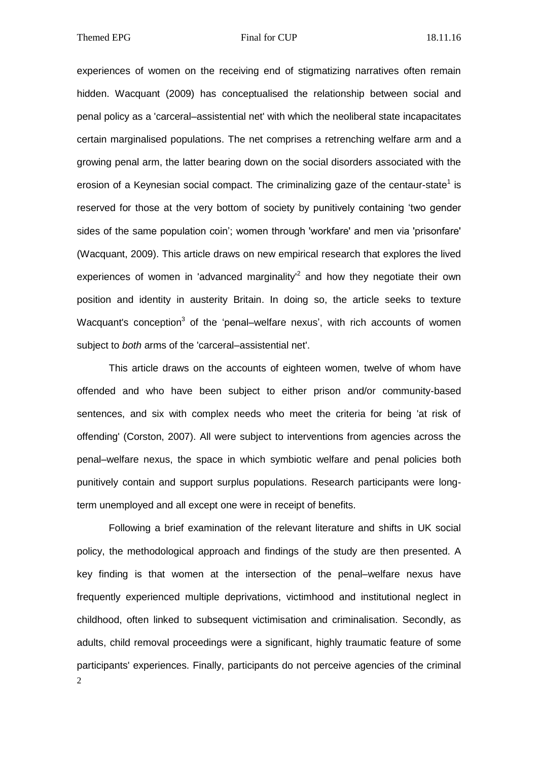experiences of women on the receiving end of stigmatizing narratives often remain hidden. Wacquant (2009) has conceptualised the relationship between social and penal policy as a 'carceral–assistential net' with which the neoliberal state incapacitates certain marginalised populations. The net comprises a retrenching welfare arm and a growing penal arm, the latter bearing down on the social disorders associated with the erosion of a Keynesian social compact. The criminalizing gaze of the centaur-state<sup>1</sup> is reserved for those at the very bottom of society by punitively containing 'two gender sides of the same population coin'; women through 'workfare' and men via 'prisonfare' (Wacquant, 2009). This article draws on new empirical research that explores the lived experiences of women in 'advanced marginality'<sup>2</sup> and how they negotiate their own position and identity in austerity Britain. In doing so, the article seeks to texture Wacquant's conception<sup>3</sup> of the 'penal–welfare nexus', with rich accounts of women subject to *both* arms of the 'carceral–assistential net'.

This article draws on the accounts of eighteen women, twelve of whom have offended and who have been subject to either prison and/or community-based sentences, and six with complex needs who meet the criteria for being 'at risk of offending' (Corston, 2007). All were subject to interventions from agencies across the penal–welfare nexus, the space in which symbiotic welfare and penal policies both punitively contain and support surplus populations. Research participants were longterm unemployed and all except one were in receipt of benefits.

2 Following a brief examination of the relevant literature and shifts in UK social policy, the methodological approach and findings of the study are then presented. A key finding is that women at the intersection of the penal–welfare nexus have frequently experienced multiple deprivations, victimhood and institutional neglect in childhood, often linked to subsequent victimisation and criminalisation. Secondly, as adults, child removal proceedings were a significant, highly traumatic feature of some participants' experiences. Finally, participants do not perceive agencies of the criminal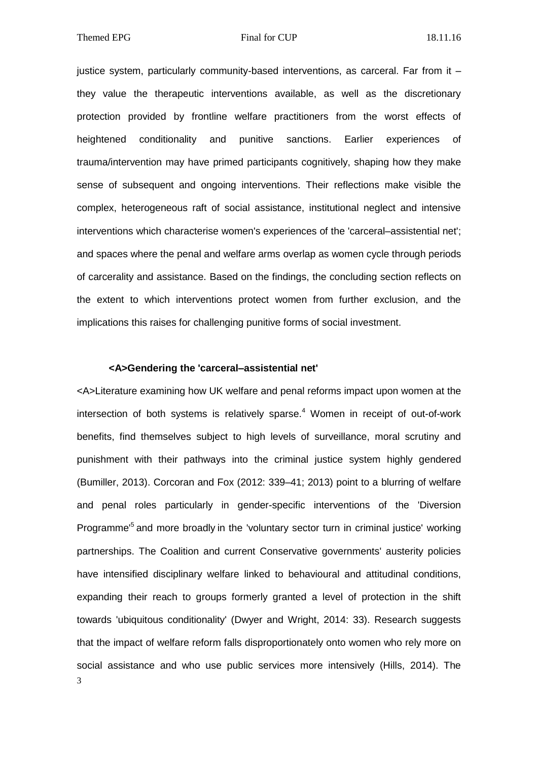justice system, particularly community-based interventions, as carceral. Far from it – they value the therapeutic interventions available, as well as the discretionary protection provided by frontline welfare practitioners from the worst effects of heightened conditionality and punitive sanctions. Earlier experiences of trauma/intervention may have primed participants cognitively, shaping how they make sense of subsequent and ongoing interventions. Their reflections make visible the complex, heterogeneous raft of social assistance, institutional neglect and intensive interventions which characterise women's experiences of the 'carceral–assistential net'; and spaces where the penal and welfare arms overlap as women cycle through periods of carcerality and assistance. Based on the findings, the concluding section reflects on the extent to which interventions protect women from further exclusion, and the implications this raises for challenging punitive forms of social investment.

# **<A>Gendering the 'carceral–assistential net'**

3 <A>Literature examining how UK welfare and penal reforms impact upon women at the intersection of both systems is relatively sparse. <sup>4</sup> Women in receipt of out-of-work benefits, find themselves subject to high levels of surveillance, moral scrutiny and punishment with their pathways into the criminal justice system highly gendered (Bumiller, 2013). Corcoran and Fox (2012: 339–41; 2013) point to a blurring of welfare and penal roles particularly in gender-specific interventions of the 'Diversion Programme<sup>5</sup> and more broadly in the 'voluntary sector turn in criminal justice' working partnerships. The Coalition and current Conservative governments' austerity policies have intensified disciplinary welfare linked to behavioural and attitudinal conditions, expanding their reach to groups formerly granted a level of protection in the shift towards 'ubiquitous conditionality' (Dwyer and Wright, 2014: 33). Research suggests that the impact of welfare reform falls disproportionately onto women who rely more on social assistance and who use public services more intensively (Hills, 2014). The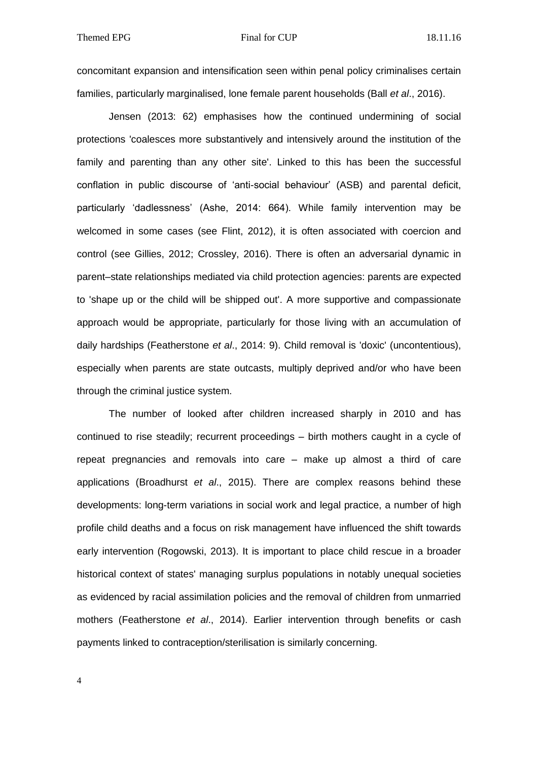concomitant expansion and intensification seen within penal policy criminalises certain families, particularly marginalised, lone female parent households (Ball *et al*., 2016).

Jensen (2013: 62) emphasises how the continued undermining of social protections 'coalesces more substantively and intensively around the institution of the family and parenting than any other site'. Linked to this has been the successful conflation in public discourse of 'anti-social behaviour' (ASB) and parental deficit, particularly 'dadlessness' (Ashe, 2014: 664). While family intervention may be welcomed in some cases (see Flint, 2012), it is often associated with coercion and control (see Gillies, 2012; Crossley, 2016). There is often an adversarial dynamic in parent–state relationships mediated via child protection agencies: parents are expected to 'shape up or the child will be shipped out'. A more supportive and compassionate approach would be appropriate, particularly for those living with an accumulation of daily hardships (Featherstone *et al*., 2014: 9). Child removal is 'doxic' (uncontentious), especially when parents are state outcasts, multiply deprived and/or who have been through the criminal justice system.

The number of looked after children increased sharply in 2010 and has continued to rise steadily; recurrent proceedings – birth mothers caught in a cycle of repeat pregnancies and removals into care – make up almost a third of care applications (Broadhurst *et al*., 2015). There are complex reasons behind these developments: long-term variations in social work and legal practice, a number of high profile child deaths and a focus on risk management have influenced the shift towards early intervention (Rogowski, 2013). It is important to place child rescue in a broader historical context of states' managing surplus populations in notably unequal societies as evidenced by racial assimilation policies and the removal of children from unmarried mothers (Featherstone *et al*., 2014). Earlier intervention through benefits or cash payments linked to contraception/sterilisation is similarly concerning.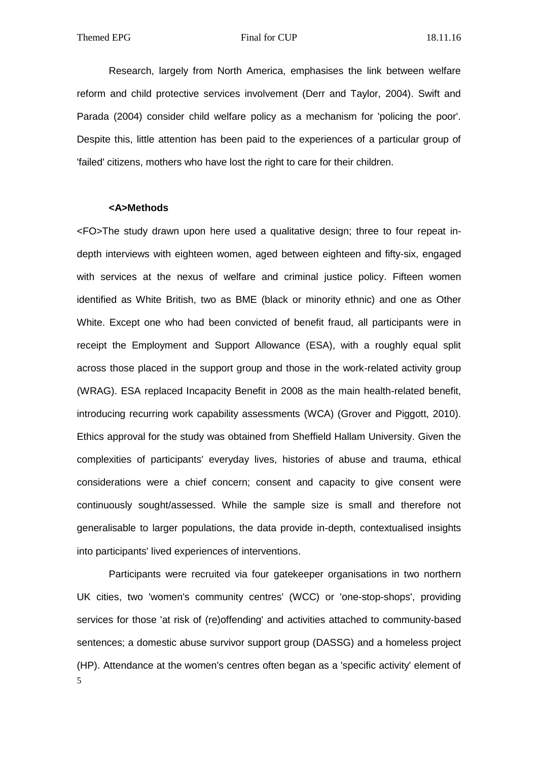Research, largely from North America, emphasises the link between welfare reform and child protective services involvement (Derr and Taylor, 2004). Swift and Parada (2004) consider child welfare policy as a mechanism for 'policing the poor'. Despite this, little attention has been paid to the experiences of a particular group of 'failed' citizens, mothers who have lost the right to care for their children.

#### **<A>Methods**

<FO>The study drawn upon here used a qualitative design; three to four repeat indepth interviews with eighteen women, aged between eighteen and fifty-six, engaged with services at the nexus of welfare and criminal justice policy. Fifteen women identified as White British, two as BME (black or minority ethnic) and one as Other White. Except one who had been convicted of benefit fraud, all participants were in receipt the Employment and Support Allowance (ESA), with a roughly equal split across those placed in the support group and those in the work-related activity group (WRAG). ESA replaced Incapacity Benefit in 2008 as the main health-related benefit, introducing recurring work capability assessments (WCA) (Grover and Piggott, 2010). Ethics approval for the study was obtained from Sheffield Hallam University. Given the complexities of participants' everyday lives, histories of abuse and trauma, ethical considerations were a chief concern; consent and capacity to give consent were continuously sought/assessed. While the sample size is small and therefore not generalisable to larger populations, the data provide in-depth, contextualised insights into participants' lived experiences of interventions.

5 Participants were recruited via four gatekeeper organisations in two northern UK cities, two 'women's community centres' (WCC) or 'one-stop-shops', providing services for those 'at risk of (re)offending' and activities attached to community-based sentences; a domestic abuse survivor support group (DASSG) and a homeless project (HP). Attendance at the women's centres often began as a 'specific activity' element of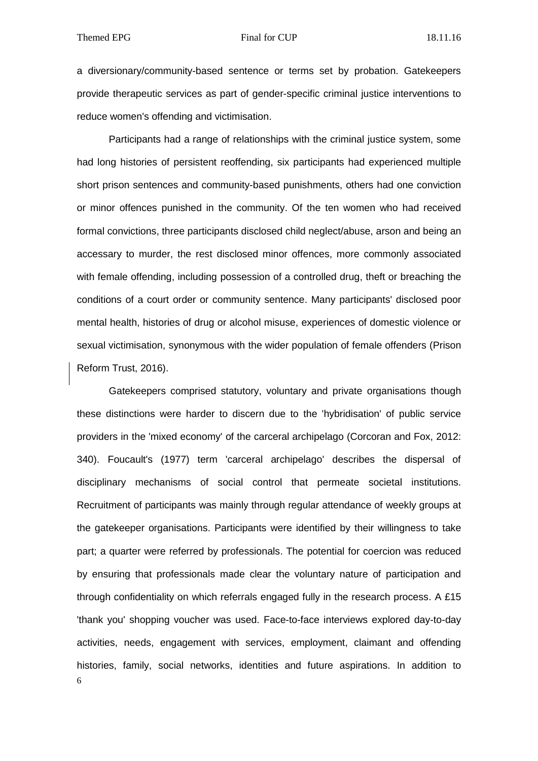a diversionary/community-based sentence or terms set by probation. Gatekeepers provide therapeutic services as part of gender-specific criminal justice interventions to reduce women's offending and victimisation.

Participants had a range of relationships with the criminal justice system, some had long histories of persistent reoffending, six participants had experienced multiple short prison sentences and community-based punishments, others had one conviction or minor offences punished in the community. Of the ten women who had received formal convictions, three participants disclosed child neglect/abuse, arson and being an accessary to murder, the rest disclosed minor offences, more commonly associated with female offending, including possession of a controlled drug, theft or breaching the conditions of a court order or community sentence. Many participants' disclosed poor mental health, histories of drug or alcohol misuse, experiences of domestic violence or sexual victimisation, synonymous with the wider population of female offenders (Prison Reform Trust, 2016).

6 Gatekeepers comprised statutory, voluntary and private organisations though these distinctions were harder to discern due to the 'hybridisation' of public service providers in the 'mixed economy' of the carceral archipelago (Corcoran and Fox, 2012: 340). Foucault's (1977) term 'carceral archipelago' describes the dispersal of disciplinary mechanisms of social control that permeate societal institutions. Recruitment of participants was mainly through regular attendance of weekly groups at the gatekeeper organisations. Participants were identified by their willingness to take part; a quarter were referred by professionals. The potential for coercion was reduced by ensuring that professionals made clear the voluntary nature of participation and through confidentiality on which referrals engaged fully in the research process. A £15 'thank you' shopping voucher was used. Face-to-face interviews explored day-to-day activities, needs, engagement with services, employment, claimant and offending histories, family, social networks, identities and future aspirations. In addition to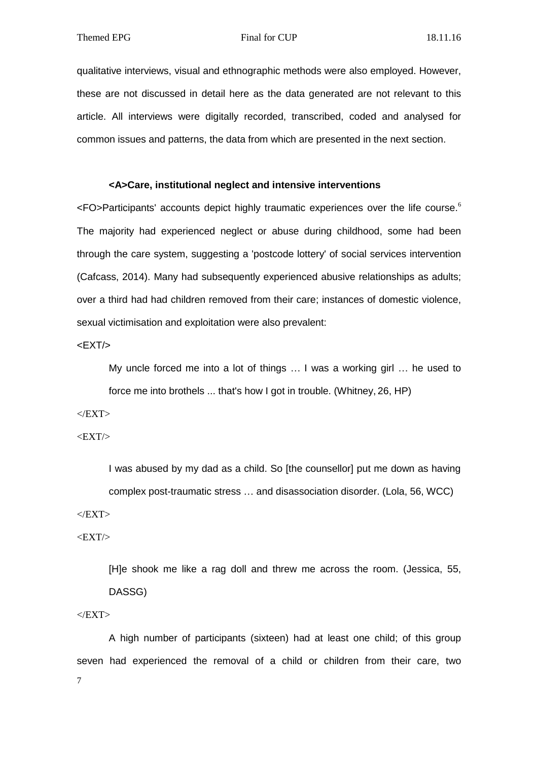qualitative interviews, visual and ethnographic methods were also employed. However, these are not discussed in detail here as the data generated are not relevant to this article. All interviews were digitally recorded, transcribed, coded and analysed for common issues and patterns, the data from which are presented in the next section.

# **<A>Care, institutional neglect and intensive interventions**

<FO>Participants' accounts depict highly traumatic experiences over the life course. 6 The majority had experienced neglect or abuse during childhood, some had been through the care system, suggesting a 'postcode lottery' of social services intervention (Cafcass, 2014). Many had subsequently experienced abusive relationships as adults; over a third had had children removed from their care; instances of domestic violence, sexual victimisation and exploitation were also prevalent:

<EXT/>

My uncle forced me into a lot of things … I was a working girl … he used to force me into brothels ... that's how I got in trouble. (Whitney, 26, HP)

 $<$ /EXT>

 $<$ EXT $/$ 

I was abused by my dad as a child. So [the counsellor] put me down as having complex post-traumatic stress … and disassociation disorder. (Lola, 56, WCC)

 $<$ /EXT>

 $<$ EXT $/$ >

[H]e shook me like a rag doll and threw me across the room. (Jessica, 55, DASSG)

 $<$ /EXT>

7 A high number of participants (sixteen) had at least one child; of this group seven had experienced the removal of a child or children from their care, two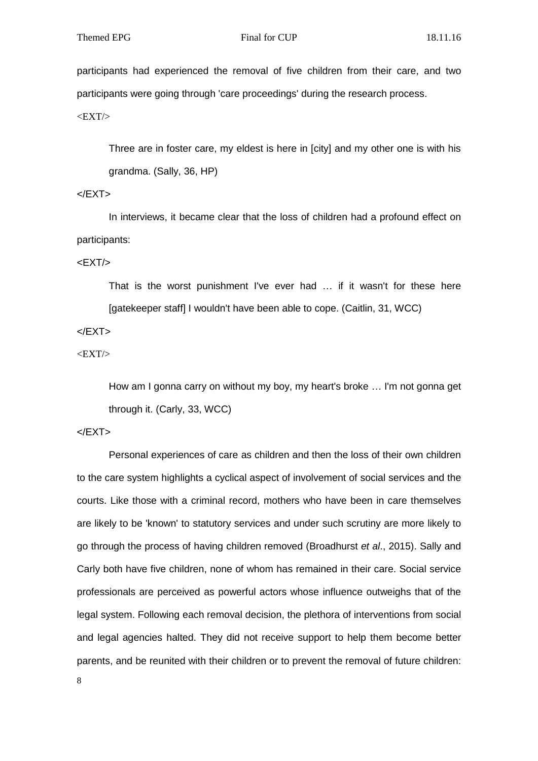participants had experienced the removal of five children from their care, and two participants were going through 'care proceedings' during the research process.

 $<$ EXT $/$ 

Three are in foster care, my eldest is here in [city] and my other one is with his grandma. (Sally, 36, HP)

# $<$ /EXT $>$

In interviews, it became clear that the loss of children had a profound effect on participants:

 $<$ EXT $/$ >

That is the worst punishment I've ever had … if it wasn't for these here [gatekeeper staff] I wouldn't have been able to cope. (Caitlin, 31, WCC)

 $<$ /EXT $>$ 

 $<$ EXT $/$ 

How am I gonna carry on without my boy, my heart's broke … I'm not gonna get through it. (Carly, 33, WCC)

 $<$ /EXT $>$ 

Personal experiences of care as children and then the loss of their own children to the care system highlights a cyclical aspect of involvement of social services and the courts. Like those with a criminal record, mothers who have been in care themselves are likely to be 'known' to statutory services and under such scrutiny are more likely to go through the process of having children removed (Broadhurst *et al*., 2015). Sally and Carly both have five children, none of whom has remained in their care. Social service professionals are perceived as powerful actors whose influence outweighs that of the legal system. Following each removal decision, the plethora of interventions from social and legal agencies halted. They did not receive support to help them become better parents, and be reunited with their children or to prevent the removal of future children: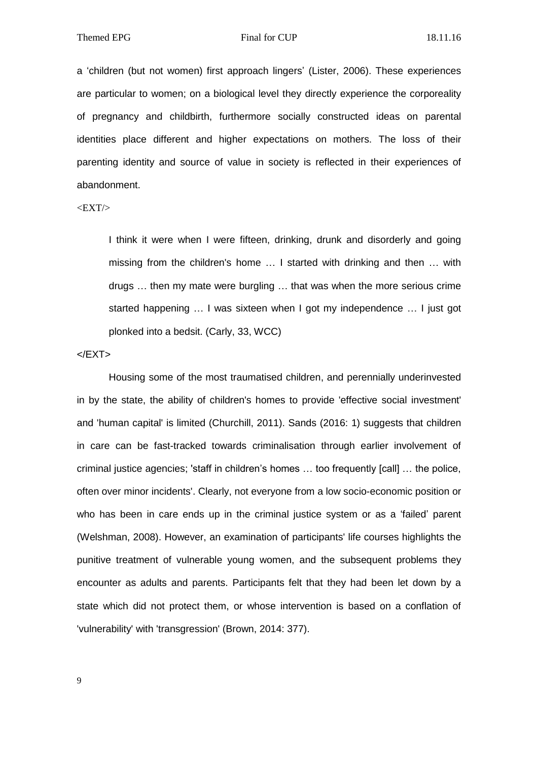a 'children (but not women) first approach lingers' (Lister, 2006). These experiences are particular to women; on a biological level they directly experience the corporeality of pregnancy and childbirth, furthermore socially constructed ideas on parental identities place different and higher expectations on mothers. The loss of their parenting identity and source of value in society is reflected in their experiences of abandonment.

 $<$ EXT $/$ 

I think it were when I were fifteen, drinking, drunk and disorderly and going missing from the children's home … I started with drinking and then … with drugs … then my mate were burgling … that was when the more serious crime started happening … I was sixteen when I got my independence … I just got plonked into a bedsit. (Carly, 33, WCC)

 $<$ /EXT $>$ 

Housing some of the most traumatised children, and perennially underinvested in by the state, the ability of children's homes to provide 'effective social investment' and 'human capital' is limited (Churchill, 2011). Sands (2016: 1) suggests that children in care can be fast-tracked towards criminalisation through earlier involvement of criminal justice agencies; 'staff in children's homes … too frequently [call] … the police, often over minor incidents'. Clearly, not everyone from a low socio-economic position or who has been in care ends up in the criminal justice system or as a 'failed' parent (Welshman, 2008). However, an examination of participants' life courses highlights the punitive treatment of vulnerable young women, and the subsequent problems they encounter as adults and parents. Participants felt that they had been let down by a state which did not protect them, or whose intervention is based on a conflation of 'vulnerability' with 'transgression' (Brown, 2014: 377).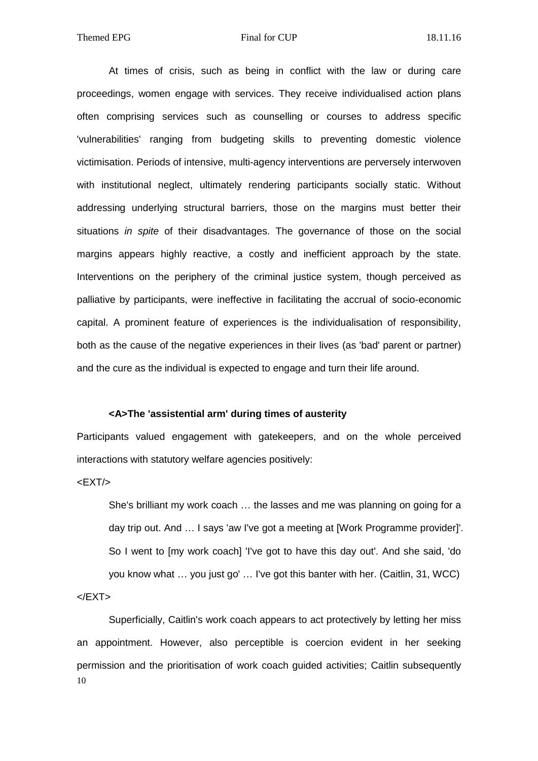At times of crisis, such as being in conflict with the law or during care proceedings, women engage with services. They receive individualised action plans often comprising services such as counselling or courses to address specific 'vulnerabilities' ranging from budgeting skills to preventing domestic violence victimisation. Periods of intensive, multi-agency interventions are perversely interwoven with institutional neglect, ultimately rendering participants socially static. Without addressing underlying structural barriers, those on the margins must better their situations *in spite* of their disadvantages. The governance of those on the social margins appears highly reactive, a costly and inefficient approach by the state. Interventions on the periphery of the criminal justice system, though perceived as palliative by participants, were ineffective in facilitating the accrual of socio-economic capital. A prominent feature of experiences is the individualisation of responsibility, both as the cause of the negative experiences in their lives (as 'bad' parent or partner) and the cure as the individual is expected to engage and turn their life around.

# **<A>The 'assistential arm' during times of austerity**

Participants valued engagement with gatekeepers, and on the whole perceived interactions with statutory welfare agencies positively:

 $<$ EXT $/$ >

She's brilliant my work coach … the lasses and me was planning on going for a day trip out. And … I says 'aw I've got a meeting at [Work Programme provider]'. So I went to [my work coach] 'I've got to have this day out'. And she said, 'do you know what … you just go' … I've got this banter with her. (Caitlin, 31, WCC)  $<$ /EXT $>$ 

10 Superficially, Caitlin's work coach appears to act protectively by letting her miss an appointment. However, also perceptible is coercion evident in her seeking permission and the prioritisation of work coach guided activities; Caitlin subsequently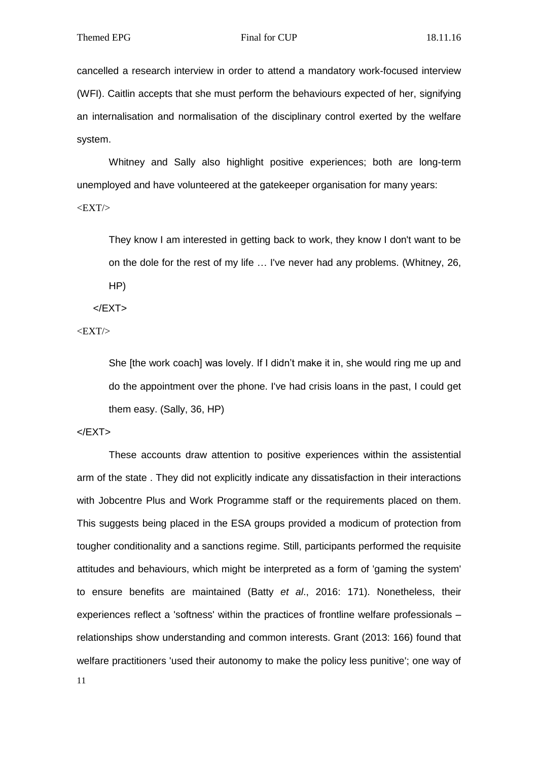cancelled a research interview in order to attend a mandatory work-focused interview (WFI). Caitlin accepts that she must perform the behaviours expected of her, signifying an internalisation and normalisation of the disciplinary control exerted by the welfare system.

Whitney and Sally also highlight positive experiences; both are long-term unemployed and have volunteered at the gatekeeper organisation for many years:  $<$ EXT $/$ 

They know I am interested in getting back to work, they know I don't want to be on the dole for the rest of my life … I've never had any problems. (Whitney, 26, HP)

 $<$ /EXT $>$ 

 $<$ EXT $/$ 

She [the work coach] was lovely. If I didn't make it in, she would ring me up and do the appointment over the phone. I've had crisis loans in the past, I could get them easy. (Sally, 36, HP)

 $<$ /EXT $>$ 

These accounts draw attention to positive experiences within the assistential arm of the state . They did not explicitly indicate any dissatisfaction in their interactions with Jobcentre Plus and Work Programme staff or the requirements placed on them. This suggests being placed in the ESA groups provided a modicum of protection from tougher conditionality and a sanctions regime. Still, participants performed the requisite attitudes and behaviours, which might be interpreted as a form of 'gaming the system' to ensure benefits are maintained (Batty *et al*., 2016: 171). Nonetheless, their experiences reflect a 'softness' within the practices of frontline welfare professionals – relationships show understanding and common interests. Grant (2013: 166) found that welfare practitioners 'used their autonomy to make the policy less punitive'; one way of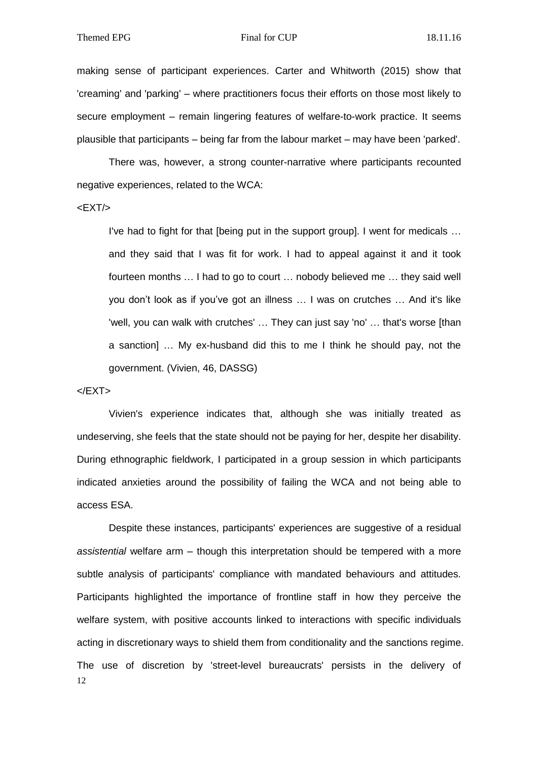making sense of participant experiences. Carter and Whitworth (2015) show that 'creaming' and 'parking' – where practitioners focus their efforts on those most likely to secure employment – remain lingering features of welfare-to-work practice. It seems plausible that participants – being far from the labour market – may have been 'parked'.

There was, however, a strong counter-narrative where participants recounted negative experiences, related to the WCA:

<EXT/>

I've had to fight for that [being put in the support group]. I went for medicals … and they said that I was fit for work. I had to appeal against it and it took fourteen months … I had to go to court … nobody believed me … they said well you don't look as if you've got an illness … I was on crutches … And it's like 'well, you can walk with crutches' … They can just say 'no' … that's worse [than a sanction] … My ex-husband did this to me I think he should pay, not the government. (Vivien, 46, DASSG)

# $<$ /EXT $>$

Vivien's experience indicates that, although she was initially treated as undeserving, she feels that the state should not be paying for her, despite her disability. During ethnographic fieldwork, I participated in a group session in which participants indicated anxieties around the possibility of failing the WCA and not being able to access ESA.

12 Despite these instances, participants' experiences are suggestive of a residual *assistential* welfare arm – though this interpretation should be tempered with a more subtle analysis of participants' compliance with mandated behaviours and attitudes. Participants highlighted the importance of frontline staff in how they perceive the welfare system, with positive accounts linked to interactions with specific individuals acting in discretionary ways to shield them from conditionality and the sanctions regime. The use of discretion by 'street-level bureaucrats' persists in the delivery of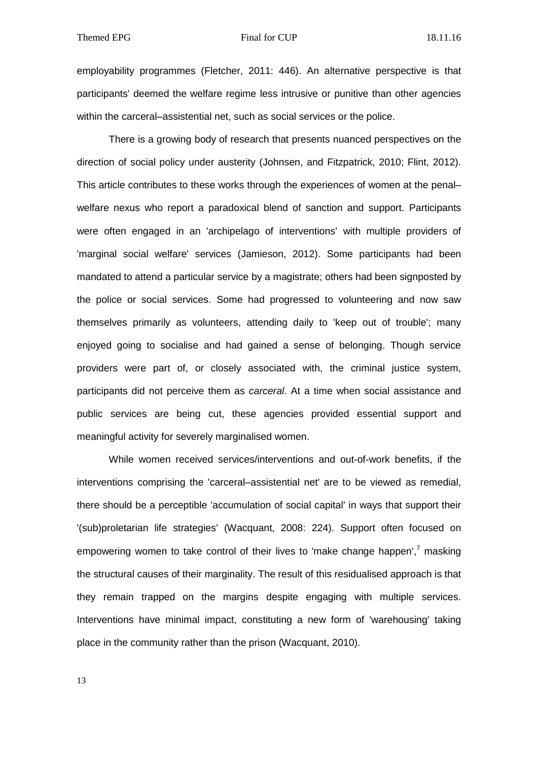employability programmes (Fletcher, 2011: 446). An alternative perspective is that participants' deemed the welfare regime less intrusive or punitive than other agencies within the carceral–assistential net, such as social services or the police.

There is a growing body of research that presents nuanced perspectives on the direction of social policy under austerity (Johnsen, and Fitzpatrick, 2010; Flint, 2012). This article contributes to these works through the experiences of women at the penal– welfare nexus who report a paradoxical blend of sanction and support. Participants were often engaged in an 'archipelago of interventions' with multiple providers of 'marginal social welfare' services (Jamieson, 2012). Some participants had been mandated to attend a particular service by a magistrate; others had been signposted by the police or social services. Some had progressed to volunteering and now saw themselves primarily as volunteers, attending daily to 'keep out of trouble'; many enjoyed going to socialise and had gained a sense of belonging. Though service providers were part of, or closely associated with, the criminal justice system, participants did not perceive them as *carceral*. At a time when social assistance and public services are being cut, these agencies provided essential support and meaningful activity for severely marginalised women.

While women received services/interventions and out-of-work benefits, if the interventions comprising the 'carceral–assistential net' are to be viewed as remedial, there should be a perceptible 'accumulation of social capital' in ways that support their '(sub)proletarian life strategies' (Wacquant, 2008: 224). Support often focused on empowering women to take control of their lives to 'make change happen',<sup>7</sup> masking the structural causes of their marginality. The result of this residualised approach is that they remain trapped on the margins despite engaging with multiple services. Interventions have minimal impact, constituting a new form of 'warehousing' taking place in the community rather than the prison (Wacquant, 2010).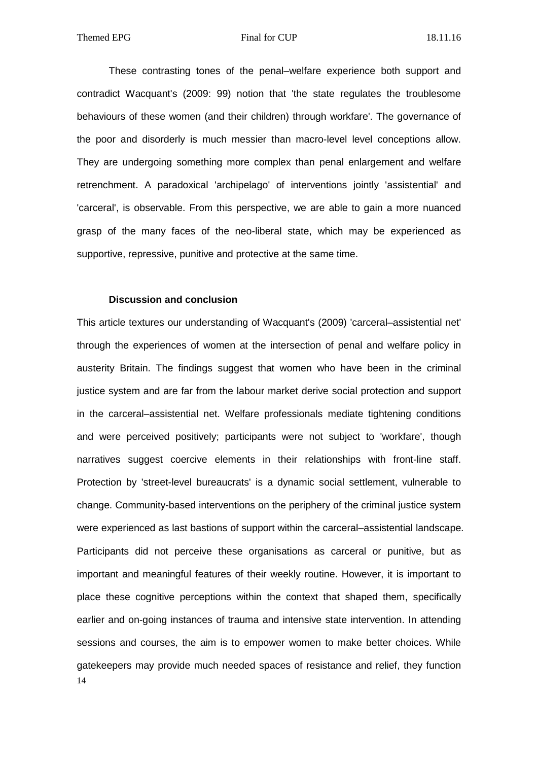These contrasting tones of the penal–welfare experience both support and contradict Wacquant's (2009: 99) notion that 'the state regulates the troublesome behaviours of these women (and their children) through workfare'. The governance of the poor and disorderly is much messier than macro-level level conceptions allow. They are undergoing something more complex than penal enlargement and welfare retrenchment. A paradoxical 'archipelago' of interventions jointly 'assistential' and 'carceral', is observable. From this perspective, we are able to gain a more nuanced grasp of the many faces of the neo-liberal state, which may be experienced as supportive, repressive, punitive and protective at the same time.

# **Discussion and conclusion**

14 This article textures our understanding of Wacquant's (2009) 'carceral–assistential net' through the experiences of women at the intersection of penal and welfare policy in austerity Britain. The findings suggest that women who have been in the criminal justice system and are far from the labour market derive social protection and support in the carceral–assistential net. Welfare professionals mediate tightening conditions and were perceived positively; participants were not subject to 'workfare', though narratives suggest coercive elements in their relationships with front-line staff. Protection by 'street-level bureaucrats' is a dynamic social settlement, vulnerable to change. Community-based interventions on the periphery of the criminal justice system were experienced as last bastions of support within the carceral–assistential landscape. Participants did not perceive these organisations as carceral or punitive, but as important and meaningful features of their weekly routine. However, it is important to place these cognitive perceptions within the context that shaped them, specifically earlier and on-going instances of trauma and intensive state intervention. In attending sessions and courses, the aim is to empower women to make better choices. While gatekeepers may provide much needed spaces of resistance and relief, they function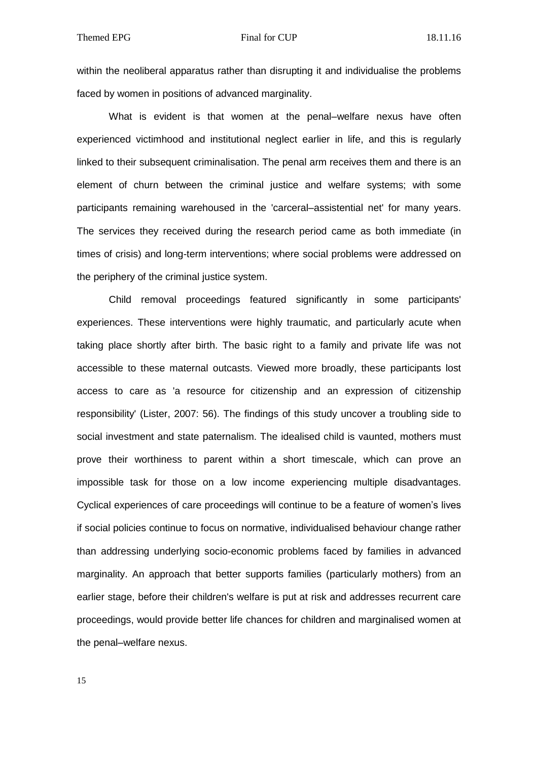within the neoliberal apparatus rather than disrupting it and individualise the problems faced by women in positions of advanced marginality.

What is evident is that women at the penal–welfare nexus have often experienced victimhood and institutional neglect earlier in life, and this is regularly linked to their subsequent criminalisation. The penal arm receives them and there is an element of churn between the criminal justice and welfare systems; with some participants remaining warehoused in the 'carceral–assistential net' for many years. The services they received during the research period came as both immediate (in times of crisis) and long-term interventions; where social problems were addressed on the periphery of the criminal justice system.

Child removal proceedings featured significantly in some participants' experiences. These interventions were highly traumatic, and particularly acute when taking place shortly after birth. The basic right to a family and private life was not accessible to these maternal outcasts. Viewed more broadly, these participants lost access to care as 'a resource for citizenship and an expression of citizenship responsibility' (Lister, 2007: 56). The findings of this study uncover a troubling side to social investment and state paternalism. The idealised child is vaunted, mothers must prove their worthiness to parent within a short timescale, which can prove an impossible task for those on a low income experiencing multiple disadvantages. Cyclical experiences of care proceedings will continue to be a feature of women's lives if social policies continue to focus on normative, individualised behaviour change rather than addressing underlying socio-economic problems faced by families in advanced marginality. An approach that better supports families (particularly mothers) from an earlier stage, before their children's welfare is put at risk and addresses recurrent care proceedings, would provide better life chances for children and marginalised women at the penal–welfare nexus.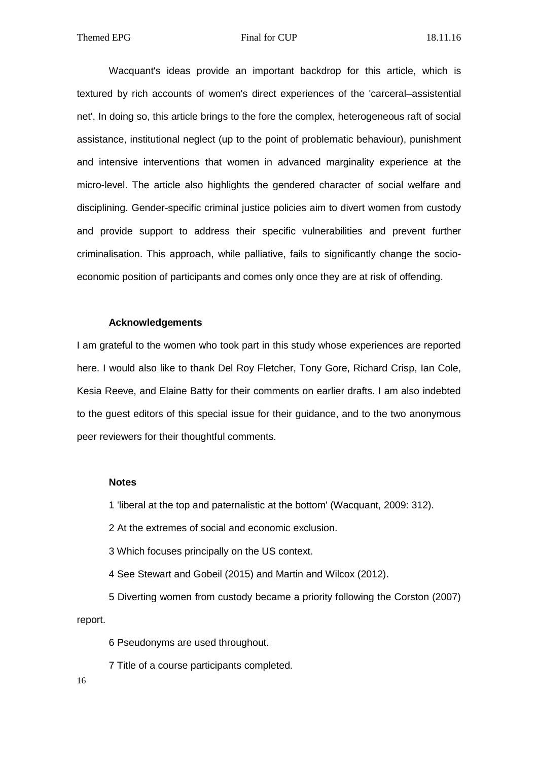Wacquant's ideas provide an important backdrop for this article, which is textured by rich accounts of women's direct experiences of the 'carceral–assistential net'. In doing so, this article brings to the fore the complex, heterogeneous raft of social assistance, institutional neglect (up to the point of problematic behaviour), punishment and intensive interventions that women in advanced marginality experience at the micro-level. The article also highlights the gendered character of social welfare and disciplining. Gender-specific criminal justice policies aim to divert women from custody and provide support to address their specific vulnerabilities and prevent further criminalisation. This approach, while palliative, fails to significantly change the socioeconomic position of participants and comes only once they are at risk of offending.

# **Acknowledgements**

I am grateful to the women who took part in this study whose experiences are reported here. I would also like to thank Del Roy Fletcher, Tony Gore, Richard Crisp, Ian Cole, Kesia Reeve, and Elaine Batty for their comments on earlier drafts. I am also indebted to the guest editors of this special issue for their guidance, and to the two anonymous peer reviewers for their thoughtful comments.

# **Notes**

1 'liberal at the top and paternalistic at the bottom' (Wacquant, 2009: 312).

2 At the extremes of social and economic exclusion.

3 Which focuses principally on the US context.

4 See Stewart and Gobeil (2015) and Martin and Wilcox (2012).

5 Diverting women from custody became a priority following the Corston (2007) report.

6 Pseudonyms are used throughout.

7 Title of a course participants completed.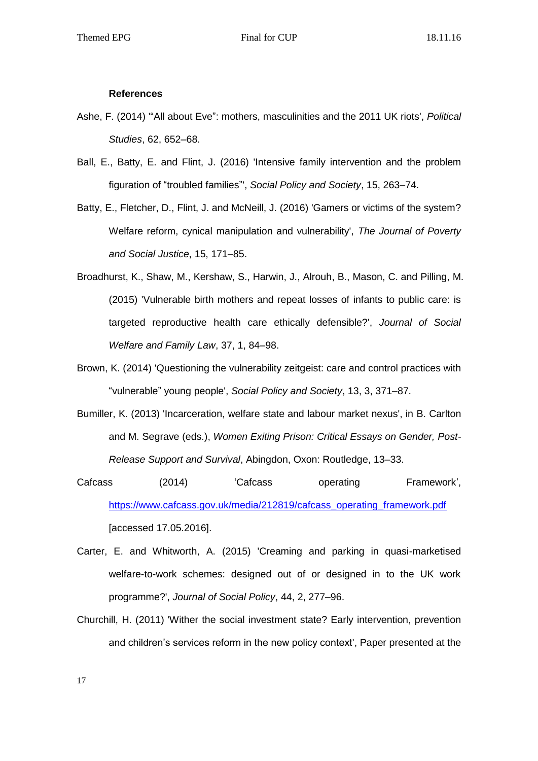# **References**

- Ashe, F. (2014) '"All about Eve": mothers, masculinities and the 2011 UK riots', *Political Studies*, 62, 652–68.
- Ball, E., Batty, E. and Flint, J. (2016) 'Intensive family intervention and the problem figuration of "troubled families"', *Social Policy and Society*, 15, 263–74.
- Batty, E., Fletcher, D., Flint, J. and McNeill, J. (2016) 'Gamers or victims of the system? Welfare reform, cynical manipulation and vulnerability', *The Journal of Poverty and Social Justice*, 15, 171–85.
- Broadhurst, K., Shaw, M., Kershaw, S., Harwin, J., Alrouh, B., Mason, C. and Pilling, M. (2015) 'Vulnerable birth mothers and repeat losses of infants to public care: is targeted reproductive health care ethically defensible?', *Journal of Social Welfare and Family Law*, 37, 1, 84–98.
- Brown, K. (2014) 'Questioning the vulnerability zeitgeist: care and control practices with "vulnerable" young people', *Social Policy and Society*, 13, 3, 371–87.
- Bumiller, K. (2013) 'Incarceration, welfare state and labour market nexus', in B. Carlton and M. Segrave (eds.), *Women Exiting Prison: Critical Essays on Gender, Post-Release Support and Survival*, Abingdon, Oxon: Routledge, 13–33.
- Cafcass (2014) 'Cafcass operating Framework', [https://www.cafcass.gov.uk/media/212819/cafcass\\_operating\\_framework.pdf](https://www.cafcass.gov.uk/media/212819/cafcass_operating_framework.pdf) [accessed 17.05.2016].
- Carter, E. and Whitworth, A. (2015) 'Creaming and parking in quasi-marketised welfare-to-work schemes: designed out of or designed in to the UK work programme?', *Journal of Social Policy*, 44, 2, 277–96.
- Churchill, H. (2011) 'Wither the social investment state? Early intervention, prevention and children's services reform in the new policy context', Paper presented at the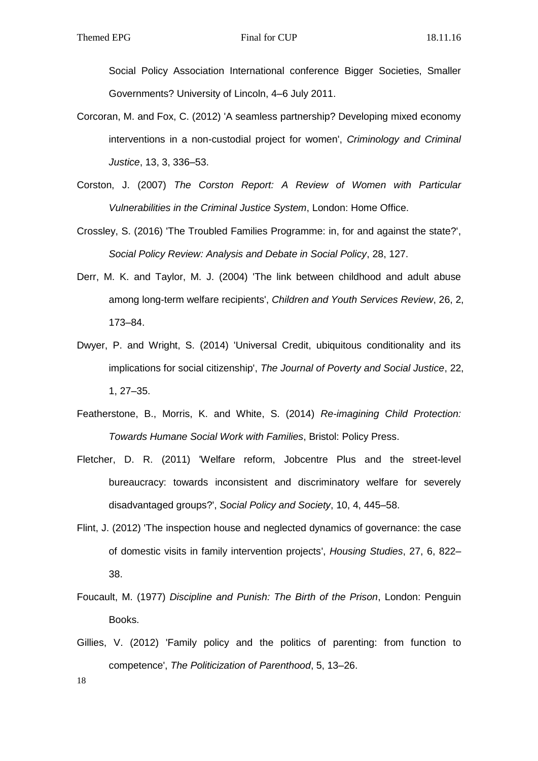Social Policy Association International conference Bigger Societies, Smaller Governments? University of Lincoln, 4–6 July 2011.

- Corcoran, M. and Fox, C. (2012) 'A seamless partnership? Developing mixed economy interventions in a non-custodial project for women', *Criminology and Criminal Justice*, 13, 3, 336–53.
- Corston, J. (2007) *The Corston Report: A Review of Women with Particular Vulnerabilities in the Criminal Justice System*, London: Home Office.
- Crossley, S. (2016) 'The Troubled Families Programme: in, for and against the state?', *Social Policy Review: Analysis and Debate in Social Policy*, 28, 127.
- Derr, M. K. and Taylor, M. J. (2004) 'The link between childhood and adult abuse among long-term welfare recipients', *Children and Youth Services Review*, 26, 2, 173–84.
- Dwyer, P. and Wright, S. (2014) 'Universal Credit, ubiquitous conditionality and its implications for social citizenship', *The Journal of Poverty and Social Justice*, 22, 1, 27–35.
- Featherstone, B., Morris, K. and White, S. (2014) *Re-imagining Child Protection: Towards Humane Social Work with Families*, Bristol: Policy Press.
- Fletcher, D. R. (2011) 'Welfare reform, Jobcentre Plus and the street-level bureaucracy: towards inconsistent and discriminatory welfare for severely disadvantaged groups?', *Social Policy and Society*, 10, 4, 445–58.
- Flint, J. (2012) 'The inspection house and neglected dynamics of governance: the case of domestic visits in family intervention projects', *Housing Studies*, 27, 6, 822– 38.
- Foucault, M. (1977) *Discipline and Punish: The Birth of the Prison*, London: Penguin Books.
- Gillies, V. (2012) 'Family policy and the politics of parenting: from function to competence', *The Politicization of Parenthood*, 5, 13–26.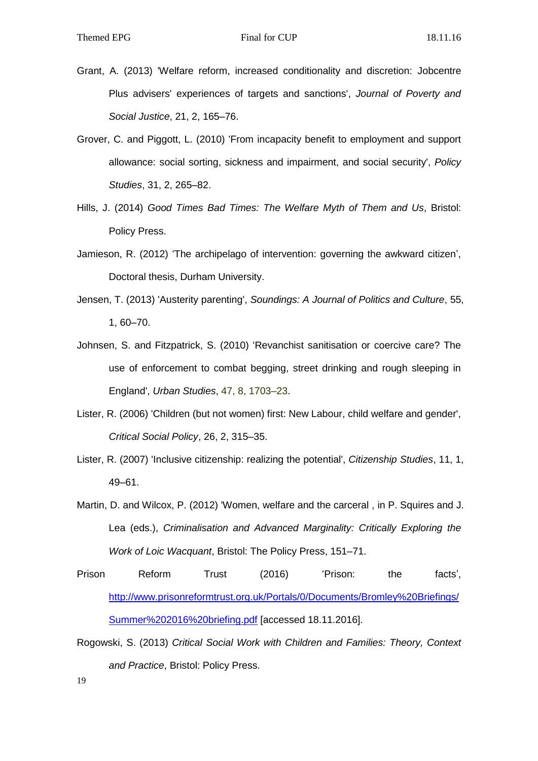- Grant, A. (2013) 'Welfare reform, increased conditionality and discretion: Jobcentre Plus advisers' experiences of targets and sanctions', *Journal of Poverty and Social Justice*, 21, 2, 165–76.
- Grover, C. and Piggott, L. (2010) 'From incapacity benefit to employment and support allowance: social sorting, sickness and impairment, and social security', *Policy Studies*, 31, 2, 265–82.
- Hills, J. (2014) *Good Times Bad Times: The Welfare Myth of Them and Us*, Bristol: Policy Press.
- Jamieson, R. (2012) 'The archipelago of intervention: governing the awkward citizen', Doctoral thesis, Durham University.
- Jensen, T. (2013) 'Austerity parenting', *Soundings: A Journal of Politics and Culture*, 55, 1, 60–70.
- Johnsen, S. and Fitzpatrick, S. (2010) 'Revanchist sanitisation or coercive care? The use of enforcement to combat begging, street drinking and rough sleeping in England', *Urban Studies*, 47, 8, 1703–23.
- Lister, R. (2006) 'Children (but not women) first: New Labour, child welfare and gender', *Critical Social Policy*, 26, 2, 315–35.
- Lister, R. (2007) 'Inclusive citizenship: realizing the potential', *Citizenship Studies*, 11, 1, 49–61.
- Martin, D. and Wilcox, P. (2012) 'Women, welfare and the carceral , in P. Squires and J. Lea (eds.), *Criminalisation and Advanced Marginality: Critically Exploring the Work of Loic Wacquant*, Bristol: The Policy Press, 151–71.
- Prison Reform Trust (2016) 'Prison: the facts', [http://www.prisonreformtrust.org.uk/Portals/0/Documents/Bromley%20Briefings/](http://www.prisonreformtrust.org.uk/Portals/0/Documents/Bromley%20Briefings/Summer%202016%20briefing.pdf) [Summer%202016%20briefing.pdf](http://www.prisonreformtrust.org.uk/Portals/0/Documents/Bromley%20Briefings/Summer%202016%20briefing.pdf) [accessed 18.11.2016].
- Rogowski, S. (2013) *Critical Social Work with Children and Families: Theory, Context and Practice*, Bristol: Policy Press.